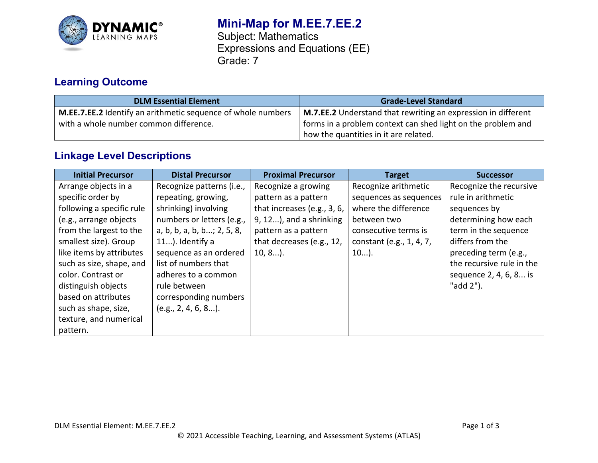

# **Mini-Map for M.EE.7.EE.2**

Subject: Mathematics Expressions and Equations (EE) Grade: 7

## **Learning Outcome**

| <b>DLM Essential Element</b>                                 | <b>Grade-Level Standard</b>                                          |
|--------------------------------------------------------------|----------------------------------------------------------------------|
| M.EE.7.EE.2 Identify an arithmetic sequence of whole numbers | <b>M.7.EE.2</b> Understand that rewriting an expression in different |
| with a whole number common difference.                       | forms in a problem context can shed light on the problem and         |
|                                                              | how the quantities in it are related.                                |

## **Linkage Level Descriptions**

| <b>Initial Precursor</b>  | <b>Distal Precursor</b>    | <b>Proximal Precursor</b>   | <b>Target</b>            | <b>Successor</b>          |
|---------------------------|----------------------------|-----------------------------|--------------------------|---------------------------|
| Arrange objects in a      | Recognize patterns (i.e.,  | Recognize a growing         | Recognize arithmetic     | Recognize the recursive   |
| specific order by         | repeating, growing,        | pattern as a pattern        | sequences as sequences   | rule in arithmetic        |
| following a specific rule | shrinking) involving       | that increases (e.g., 3, 6, | where the difference     | sequences by              |
| (e.g., arrange objects    | numbers or letters (e.g.,  | $9, 12$ , and a shrinking   | between two              | determining how each      |
| from the largest to the   | a, b, b, a, b, b; 2, 5, 8, | pattern as a pattern        | consecutive terms is     | term in the sequence      |
| smallest size). Group     | 11). Identify a            | that decreases (e.g., 12,   | constant (e.g., 1, 4, 7, | differs from the          |
| like items by attributes  | sequence as an ordered     | $10, 8$ ).                  | $10$ ).                  | preceding term (e.g.,     |
| such as size, shape, and  | list of numbers that       |                             |                          | the recursive rule in the |
| color. Contrast or        | adheres to a common        |                             |                          | sequence 2, 4, 6, 8 is    |
| distinguish objects       | rule between               |                             |                          | "add 2").                 |
| based on attributes       | corresponding numbers      |                             |                          |                           |
| such as shape, size,      | $(e.g., 2, 4, 6, 8)$ .     |                             |                          |                           |
| texture, and numerical    |                            |                             |                          |                           |
| pattern.                  |                            |                             |                          |                           |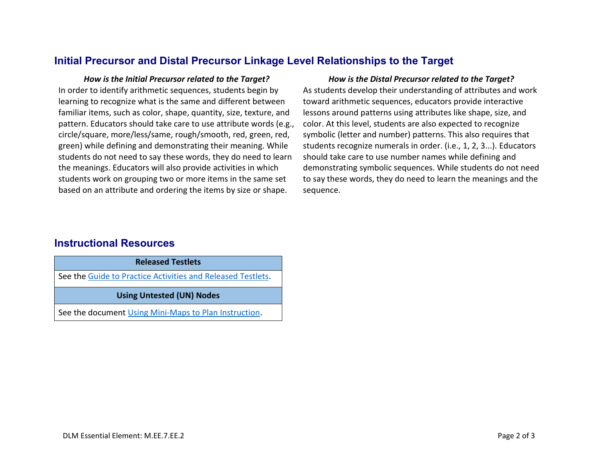## **Initial Precursor and Distal Precursor Linkage Level Relationships to the Target**

In order to identify arithmetic sequences, students begin by learning to recognize what is the same and different between familiar items, such as color, shape, quantity, size, texture, and pattern. Educators should take care to use attribute words (e.g., circle/square, more/less/same, rough/smooth, red, green, red, green) while defining and demonstrating their meaning. While students do not need to say these words, they do need to learn the meanings. Educators will also provide activities in which students work on grouping two or more items in the same set based on an attribute and ordering the items by size or shape.

### *How is the Initial Precursor related to the Target? How is the Distal Precursor related to the Target?*

As students develop their understanding of attributes and work toward arithmetic sequences, educators provide interactive lessons around patterns using attributes like shape, size, and color. At this level, students are also expected to recognize symbolic (letter and number) patterns. This also requires that students recognize numerals in order. (i.e., 1, 2, 3...). Educators should take care to use number names while defining and demonstrating symbolic sequences. While students do not need to say these words, they do need to learn the meanings and the sequence.

### **Instructional Resources**